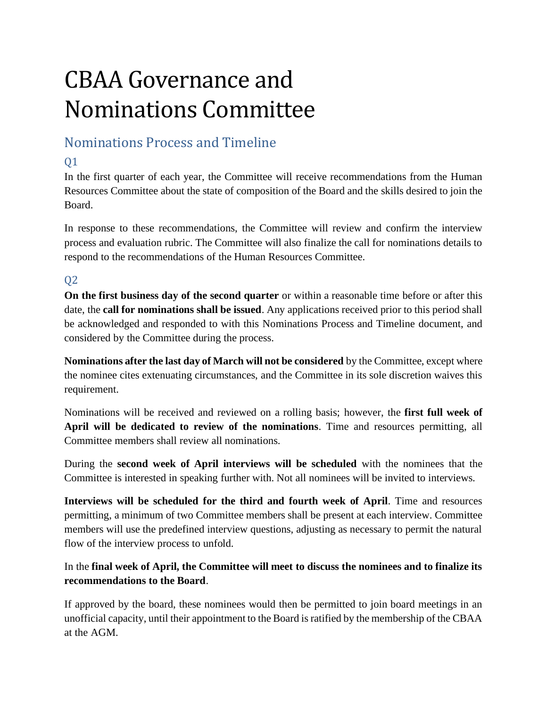# CBAA Governance and Nominations Committee

## Nominations Process and Timeline

### Q1

In the first quarter of each year, the Committee will receive recommendations from the Human Resources Committee about the state of composition of the Board and the skills desired to join the Board.

In response to these recommendations, the Committee will review and confirm the interview process and evaluation rubric. The Committee will also finalize the call for nominations details to respond to the recommendations of the Human Resources Committee.

#### Q2

**On the first business day of the second quarter** or within a reasonable time before or after this date, the **call for nominations shall be issued**. Any applications received prior to this period shall be acknowledged and responded to with this Nominations Process and Timeline document, and considered by the Committee during the process.

**Nominations after the last day of March will not be considered** by the Committee, except where the nominee cites extenuating circumstances, and the Committee in its sole discretion waives this requirement.

Nominations will be received and reviewed on a rolling basis; however, the **first full week of April will be dedicated to review of the nominations**. Time and resources permitting, all Committee members shall review all nominations.

During the **second week of April interviews will be scheduled** with the nominees that the Committee is interested in speaking further with. Not all nominees will be invited to interviews.

**Interviews will be scheduled for the third and fourth week of April**. Time and resources permitting, a minimum of two Committee members shall be present at each interview. Committee members will use the predefined interview questions, adjusting as necessary to permit the natural flow of the interview process to unfold.

#### In the **final week of April, the Committee will meet to discuss the nominees and to finalize its recommendations to the Board**.

If approved by the board, these nominees would then be permitted to join board meetings in an unofficial capacity, until their appointment to the Board is ratified by the membership of the CBAA at the AGM.